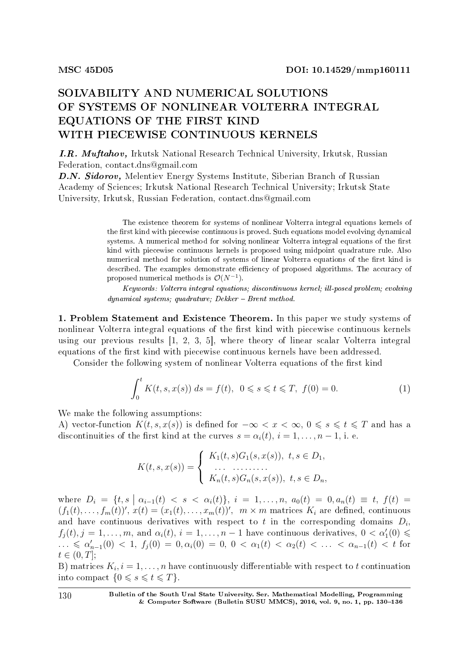## SOLVABILITY AND NUMERICAL SOLUTIONS OF SYSTEMS OF NONLINEAR VOLTERRA INTEGRAL EQUATIONS OF THE FIRST KIND WITH PIECEWISE CONTINUOUS KERNELS

I.R. Muftahov, Irkutsk National Research Technical University, Irkutsk, Russian Federation, contact.dns@gmail.com

D.N. Sidorov, Melentiev Energy Systems Institute, Siberian Branch of Russian Academy of Sciences; Irkutsk National Research Technical University; Irkutsk State University, Irkutsk, Russian Federation, contact.dns@gmail.com

> The existence theorem for systems of nonlinear Volterra integral equations kernels of the first kind with piecewise continuous is proved. Such equations model evolving dynamical systems. A numerical method for solving nonlinear Volterra integral equations of the first kind with piecewise continuous kernels is proposed using midpoint quadrature rule. Also numerical method for solution of systems of linear Volterra equations of the first kind is described. The examples demonstrate efficiency of proposed algorithms. The accuracy of proposed numerical methods is  $\mathcal{O}(N^{-1})$ .

> Keywords: Volterra integral equations; discontinuous kernel; ill-posed problem; evolving  $dynamical systems; quadrature; Dekker - Brent method.$

1. Problem Statement and Existence Theorem. In this paper we study systems of nonlinear Volterra integral equations of the first kind with piecewise continuous kernels using our previous results [1, 2, 3, 5], where theory of linear scalar Volterra integral equations of the first kind with piecewise continuous kernels have been addressed.

Consider the following system of nonlinear Volterra equations of the first kind

$$
\int_0^t K(t, s, x(s)) ds = f(t), \ 0 \le s \le t \le T, \ f(0) = 0.
$$
 (1)

We make the following assumptions:

A) vector-function  $K(t, s, x(s))$  is defined for  $-\infty < x < \infty$ ,  $0 \le s \le t \le T$  and has a discontinuities of the first kind at the curves  $s = \alpha_i(t)$ ,  $i = 1, \ldots, n-1$ , i. e.

$$
K(t, s, x(s)) = \begin{cases} K_1(t, s)G_1(s, x(s)), & t, s \in D_1, \\ \dots & \dots \\ K_n(t, s)G_n(s, x(s)), & t, s \in D_n, \end{cases}
$$

where  $D_i = \{t, s \mid \alpha_{i-1}(t) < s < \alpha_i(t)\}, i = 1, ..., n, a_0(t) = 0, a_n(t) \equiv t, f(t) = 0\}$  $(f_1(t),...,f_m(t))'$ ,  $x(t)=(x_1(t),...,x_m(t))'$ ,  $m \times m$  matrices  $K_i$  are defined, continuous and have continuous derivatives with respect to  $t$  in the corresponding domains  $D_i$ ,  $f_j(t), j = 1, \ldots, m$ , and  $\alpha_i(t), i = 1, \ldots, n - 1$  have continuous derivatives,  $0 < \alpha'_1(0) \leq$  $\ldots$  ≤ α<sup>'</sup><sub>*n*</sub>−1</sub>(0) < 1, *f*<sub>j</sub>(0) = 0, α<sub>i</sub>(0) = 0, 0 < α<sub>1</sub>(*t*) < α<sub>2</sub>(*t*) < ... < α<sub>*n*−1</sub>(*t*) < *t* for  $t \in (0, T]$ ;

B) matrices  $K_i$ ,  $i = 1, \ldots, n$  have continuously differentiable with respect to  $t$  continuation into compact  $\{0 \le s \le t \le T\}$ .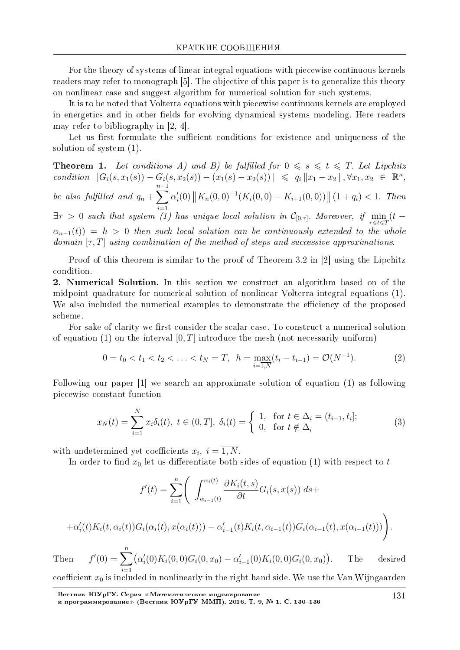For the theory of systems of linear integral equations with piecewise continuous kernels readers may refer to monograph [5]. The objective of this paper is to generalize this theory on nonlinear case and suggest algorithm for numerical solution for such systems.

It is to be noted that Volterra equations with piecewise continuous kernels are employed in energetics and in other fields for evolving dynamical systems modeling. Here readers may refer to bibliography in [2, 4].

Let us first formulate the sufficient conditions for existence and uniqueness of the solution of system  $(1)$ .

**Theorem 1.** Let conditions A) and B) be fulfilled for  $0 \le s \le t \le T$ . Let Lipchitz condition  $||G_i(s, x_1(s)) - G_i(s, x_2(s)) - (x_1(s) - x_2(s))|| \leq q_i ||x_1 - x_2||$ ,  $\forall x_1, x_2 \in \mathbb{R}^n$ , be also fulfilled and  $q_n + \sum_{i=1}^{n-1} \alpha'_i(0) ||K_n(0,0)^{-1}(K_i(0,0) - K_{i+1}(0,0))|| (1+q_i) < 1$ . Then  $\exists \tau > 0$  such that system (1) has unique local solution in  $\mathcal{C}_{[0,\tau]}$ . Moreover, if  $\min_{\tau \leq t \leq T} (t-\tau)$  $\alpha_{n-1}(t) = h > 0$  then such local solution can be continuously extended to the whole domain  $[\tau, T]$  using combination of the method of steps and successive approximations.

Proof of this theorem is similar to the proof of Theorem 3.2 in [2] using the Lipchitz condition.

2. Numerical Solution. In this section we construct an algorithm based on of the midpoint quadrature for numerical solution of nonlinear Volterra integral equations (1). We also included the numerical examples to demonstrate the efficiency of the proposed scheme

For sake of clarity we first consider the scalar case. To construct a numerical solution of equation (1) on the interval [0, T] introduce the mesh (not necessarily uniform)

$$
0 = t_0 < t_1 < t_2 < \ldots < t_N = T, \ \ h = \max_{i=1,N} (t_i - t_{i-1}) = \mathcal{O}(N^{-1}). \tag{2}
$$

Following our paper  $[1]$  we search an approximate solution of equation  $(1)$  as following piecewise constant function

$$
x_N(t) = \sum_{i=1}^N x_i \delta_i(t), \ t \in (0, T], \ \delta_i(t) = \begin{cases} 1, & \text{for } t \in \Delta_i = (t_{i-1}, t_i]; \\ 0, & \text{for } t \notin \Delta_i \end{cases} \tag{3}
$$

with undetermined yet coefficients  $x_i$ ,  $i = 1, N$ .

In order to find  $x_0$  let us differentiate both sides of equation (1) with respect to t

$$
f'(t) = \sum_{i=1}^{n} \left( \int_{\alpha_{i-1}(t)}^{\alpha_i(t)} \frac{\partial K_i(t,s)}{\partial t} G_i(s,x(s)) \, ds + \right)
$$

$$
+\alpha'_{i}(t)K_{i}(t,\alpha_{i}(t))G_{i}(\alpha_{i}(t),x(\alpha_{i}(t)))-\alpha'_{i-1}(t)K_{i}(t,\alpha_{i-1}(t))G_{i}(\alpha_{i-1}(t),x(\alpha_{i-1}(t)))\bigg)
$$

 $f'(0) = \sum_{i=1}^{n} (\alpha'_i(0) K_i(0,0) G_i(0,x_0) - \alpha'_{i-1}(0) K_i(0,0) G_i(0,x_0)).$ Then The desired coefficient  $x_0$  is included in nonlinearly in the right hand side. We use the Van Wijngaarden

Вестник ЮУрГУ. Серия «Математическое моделирование<br>и программирование» (Вестник ЮУрГУ ММП). 2016. Т. 9, № 1. С. 130-136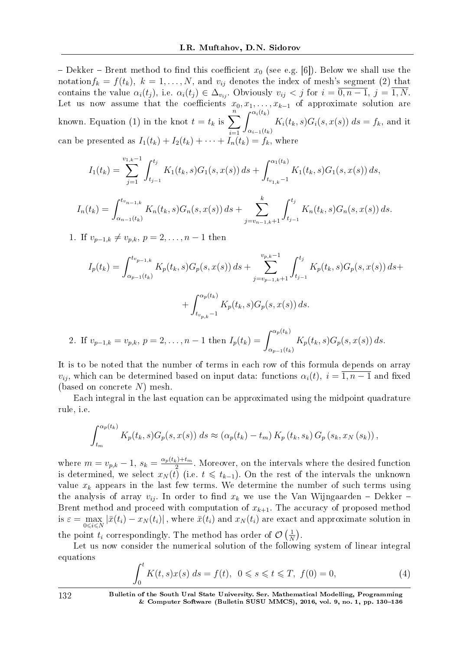- Dekker - Brent method to find this coefficient  $x_0$  (see e.g. [6]). Below we shall use the notation $f_k = f(t_k)$ ,  $k = 1, \ldots, N$ , and  $v_{ij}$  denotes the index of mesh's segment (2) that contains the value  $\alpha_i(t_j)$ , i.e.  $\alpha_i(t_j) \in \Delta_{v_{ij}}$ . Obviously  $v_{ij} < j$  for  $i = \overline{0, n-1}$ ,  $j = \overline{1, N}$ . Let us now assume that the coefficients  $x_0, x_1, \ldots, x_{k-1}$  of approximate solution are known. Equation (1) in the knot  $t = t_k$  is  $\sum_{i=1}^{n}$ *i*=1  $\int_0^{\alpha_i(t_k)}$  $\alpha_{i-1}(t_k)$  $K_i(t_k, s)G_i(s, x(s))$   $ds = f_k$ , and it can be presented as  $I_1(t_k) + I_2(t_k) + \cdots + I_n(t_k) = f_k$ , where

$$
I_1(t_k) = \sum_{j=1}^{v_{1,k}-1} \int_{t_{j-1}}^{t_j} K_1(t_k, s) G_1(s, x(s)) ds + \int_{t_{v_{1,k}}-1}^{\alpha_1(t_k)} K_1(t_k, s) G_1(s, x(s)) ds,
$$

$$
I_n(t_k) = \int_{\alpha_{n-1}(t_k)}^{t_{v_{n-1,k}}} K_n(t_k, s) G_n(s, x(s)) ds + \sum_{j=v_{n-1,k}+1}^k \int_{t_{j-1}}^{t_j} K_n(t_k, s) G_n(s, x(s)) ds.
$$

1. If  $v_{p-1,k} \neq v_{p,k}, p = 2, \ldots, n-1$  then

$$
I_p(t_k) = \int_{\alpha_{p-1}(t_k)}^{t_{v_{p-1,k}}} K_p(t_k, s) G_p(s, x(s)) ds + \sum_{j=v_{p-1,k}+1}^{v_{p,k}-1} \int_{t_{j-1}}^{t_j} K_p(t_k, s) G_p(s, x(s)) ds +
$$
  
+ 
$$
\int_{t_{v_{p,k}-1}}^{\alpha_p(t_k)} K_p(t_k, s) G_p(s, x(s)) ds.
$$
  
If  $v_{p,k} = v_{p,k} = 0$  and  $v_{p,k} = 1$  then  $I_r(t_k) = \int_{t_{p,k}}^{\alpha_p(t_k)} K_r(t_k, s) G_r(s, x(s)) ds$ 

2. If  $v_{p-1,k} = v_{p,k}, p = 2, \ldots, n-1$  then  $I_p(t_k)$  $\alpha_{p-1}(t_k)$  $K_p(t_k, s) G_p(s, x(s)) ds.$ 

It is to be noted that the number of terms in each row of this formula depends on array *v*<sub>*ii*</sub>, which can be determined based on input data: functions  $\alpha_i(t)$ ,  $i = \overline{1, n-1}$  and fixed (based on concrete *N*) mesh.

Each integral in the last equation can be approximated using the midpoint quadrature rule, i.e.

$$
\int_{t_m}^{\alpha_p(t_k)} K_p(t_k, s) G_p(s, x(s)) ds \approx (\alpha_p(t_k) - t_m) K_p(t_k, s_k) G_p(s_k, x_N(s_k)),
$$

where  $m = v_{p,k} - 1$ ,  $s_k = \frac{\alpha_p(t_k) + t_m}{2}$  $\frac{1}{2}$ . Moreover, on the intervals where the desired function is determined, we select  $x_N(t)$  (i.e.  $t \leq t_{k-1}$ ). On the rest of the intervals the unknown value  $x_k$  appears in the last few terms. We determine the number of such terms using the analysis of array  $v_{ij}$ . In order to find  $x_k$  we use the Van Wijngaarden – Dekker – Brent method and proceed with computation of  $x_{k+1}$ . The accuracy of proposed method is  $\varepsilon = \max_{0 \leq i \leq N} |\bar{x}(t_i) - x_N(t_i)|$ , where  $\bar{x}(t_i)$  and  $x_N(t_i)$  are exact and approximate solution in the point  $t_i$  correspondingly. The method has order of  $\mathcal{O}\left(\frac{1}{N}\right)$  $\frac{1}{N}$ .

Let us now consider the numerical solution of the following system of linear integral equations

$$
\int_0^t K(t,s)x(s) \, ds = f(t), \ 0 \le s \le t \le T, \ f(0) = 0,\tag{4}
$$

132 Bulletin of the South Ural State University. Ser. Mathematical Modelling, Programming & Computer Software (Bulletin SUSU MMCS),  $2016$ , vol. 9, no. 1, pp. 130-136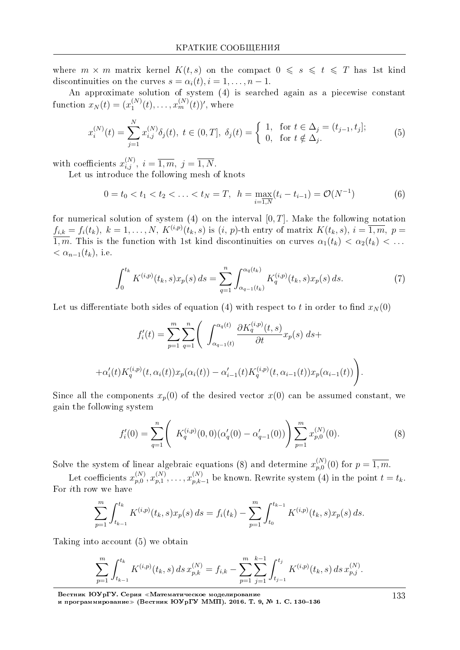where  $m \times m$  matrix kernel  $K(t,s)$  on the compact  $0 \le s \le t \le T$  has 1st kind discontinuities on the curves  $s = \alpha_i(t), i = 1, \ldots, n-1$ .

An approximate solution of system (4) is searched again as a piecewise constant function  $x_N(t) = (x_1^{(N)}(t), \ldots, x_m^{(N)}(t))'$ , where

$$
x_i^{(N)}(t) = \sum_{j=1}^N x_{i,j}^{(N)} \delta_j(t), \ t \in (0,T], \ \delta_j(t) = \begin{cases} 1, & \text{for } t \in \Delta_j = (t_{j-1}, t_j]; \\ 0, & \text{for } t \notin \Delta_j. \end{cases} \tag{5}
$$

with coefficients  $x_{i,j}^{(N)}$ ,  $i = \overline{1,m}$ ,  $j = \overline{1,N}$ .

Let us introduce the following mesh of knots

$$
0 = t_0 < t_1 < t_2 < \ldots < t_N = T, \ \ h = \max_{i=1,N} (t_i - t_{i-1}) = \mathcal{O}(N^{-1})
$$
 (6)

for numerical solution of system (4) on the interval  $[0, T]$ . Make the following notation  $f_{i,k} = f_i(t_k), k = 1,\ldots,N, K^{(i,p)}(t_k,s)$  is  $(i, p)$ -th entry of matrix  $K(t_k, s), i = \overline{1,m}, p =$  $\overline{1,m}$ . This is the function with 1st kind discontinuities on curves  $\alpha_1(t_k) < \alpha_2(t_k) < \ldots$  $<\alpha_{n-1}(t_k)$ , i.e.

$$
\int_0^{t_k} K^{(i,p)}(t_k, s) x_p(s) \, ds = \sum_{q=1}^n \int_{\alpha_{q-1}(t_k)}^{\alpha_q(t_k)} K_q^{(i,p)}(t_k, s) x_p(s) \, ds. \tag{7}
$$

Let us differentiate both sides of equation (4) with respect to t in order to find  $x_N(0)$ 

$$
f'_{i}(t) = \sum_{p=1}^{m} \sum_{q=1}^{n} \left( \int_{\alpha_{q-1}(t)}^{\alpha_{q}(t)} \frac{\partial K_{q}^{(i,p)}(t,s)}{\partial t} x_{p}(s) ds + + \alpha'_{i}(t) K_{q}^{(i,p)}(t, \alpha_{i}(t)) x_{p}(\alpha_{i}(t)) - \alpha'_{i-1}(t) K_{q}^{(i,p)}(t, \alpha_{i-1}(t)) x_{p}(\alpha_{i-1}(t)) \right).
$$

Since all the components  $x_p(0)$  of the desired vector  $x(0)$  can be assumed constant, we gain the following system

$$
f_i'(0) = \sum_{q=1}^n \left( K_q^{(i,p)}(0,0) (\alpha'_q(0) - \alpha'_{q-1}(0)) \right) \sum_{p=1}^m x_{p,0}^{(N)}(0).
$$
 (8)

Solve the system of linear algebraic equations (8) and determine  $x_{p,0}^{(N)}(0)$  for  $p = \overline{1,m}$ .

Let coefficients  $x_{p,0}^{(N)}, x_{p,1}^{(N)}, \ldots, x_{p,k-1}^{(N)}$  be known. Rewrite system (4) in the point  $t = t_k$ . For *i*th row we have

$$
\sum_{p=1}^{m} \int_{t_{k-1}}^{t_k} K^{(i,p)}(t_k, s) x_p(s) \, ds = f_i(t_k) - \sum_{p=1}^{m} \int_{t_0}^{t_{k-1}} K^{(i,p)}(t_k, s) x_p(s) \, ds.
$$

Taking into account (5) we obtain

$$
\sum_{p=1}^{m} \int_{t_{k-1}}^{t_k} K^{(i,p)}(t_k, s) \, ds \, x_{p,k}^{(N)} = f_{i,k} - \sum_{p=1}^{m} \sum_{j=1}^{k-1} \int_{t_{j-1}}^{t_j} K^{(i,p)}(t_k, s) \, ds \, x_{p,j}^{(N)}.
$$

Вестник ЮУрГУ. Серия «Математическое моделирование<br>и программирование» (Вестник ЮУрГУ ММП). 2016. Т. 9, № 1. С. 130-136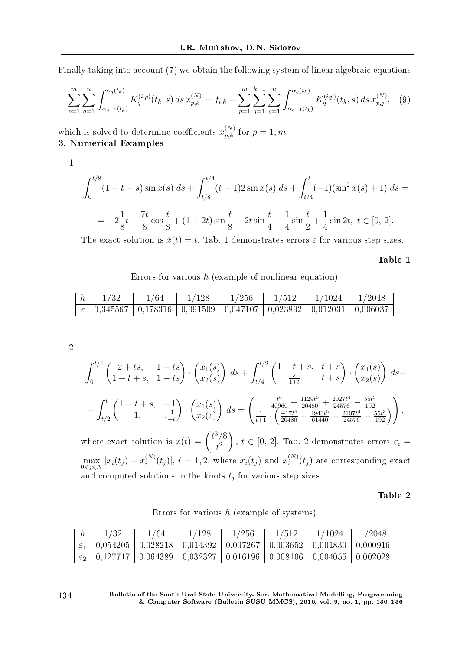Finally taking into account (7) we obtain the following system of linear algebraic equations

$$
\sum_{p=1}^{m} \sum_{q=1}^{n} \int_{\alpha_{q-1}(t_k)}^{\alpha_q(t_k)} K_q^{(i,p)}(t_k, s) \, ds \, x_{p,k}^{(N)} = f_{i,k} - \sum_{p=1}^{m} \sum_{j=1}^{k-1} \sum_{q=1}^{n} \int_{\alpha_{q-1}(t_k)}^{\alpha_q(t_k)} K_q^{(i,p)}(t_k, s) \, ds \, x_{p,j}^{(N)}, \tag{9}
$$

which is solved to determine coefficients  $x_{p,k}^{(N)}$  for  $p = \overline{1,m}$ . 3. Numerical Examples

1.

$$
\int_0^{t/8} (1+t-s)\sin x(s) \, ds + \int_{t/8}^{t/4} (t-1)2\sin x(s) \, ds + \int_{t/4}^t (-1)(\sin^2 x(s) + 1) \, ds =
$$
\n
$$
= -2\frac{1}{8}t + \frac{7t}{8}\cos\frac{t}{8} + (1+2t)\sin\frac{t}{8} - 2t\sin\frac{t}{4} - \frac{1}{4}\sin\frac{t}{2} + \frac{1}{4}\sin 2t, \ t \in [0, 2].
$$

The exact solution is  $\bar{x}(t) = t$ . Tab. 1 demonstrates errors  $\varepsilon$  for various step sizes.

Table 1

Errors for various *h* (example of nonlinear equation)

|                                                                                            | /64 | 1/128 | 1/256 | 1/512 | 1/1024 | 1/2048 |
|--------------------------------------------------------------------------------------------|-----|-------|-------|-------|--------|--------|
| $\varepsilon$   0,345567   0,178316   0,091509   0,047107   0,023892   0,012031   0,006037 |     |       |       |       |        |        |

2.

$$
\int_0^{t/4} \begin{pmatrix} 2+ts, & 1-ts \\ 1+t+s, & 1-ts \end{pmatrix} \cdot \begin{pmatrix} x_1(s) \\ x_2(s) \end{pmatrix} ds + \int_{t/4}^{t/2} \begin{pmatrix} 1+t+s, & t+s \\ \frac{s}{1+t}, & t+s \end{pmatrix} \cdot \begin{pmatrix} x_1(s) \\ x_2(s) \end{pmatrix} ds + + \int_{t/2}^t \begin{pmatrix} 1+t+s, & -1 \\ 1, & \frac{-1}{1+t} \end{pmatrix} \cdot \begin{pmatrix} x_1(s) \\ x_2(s) \end{pmatrix} ds = \begin{pmatrix} \frac{t^6}{40960} + \frac{1129t^5}{20480} + \frac{2027t^4}{24576} - \frac{55t^3}{192} \\ \frac{1}{t+1} \cdot \begin{pmatrix} \frac{-17t^6}{20480} + \frac{4943t^5}{61440} + \frac{2107t^4}{24576} - \frac{55t^3}{192} \end{pmatrix} \end{pmatrix},
$$

where exact solution is  $\bar{x}(t) = \begin{pmatrix} t^3/8 \\ t^2 \end{pmatrix}$ *t* 2  $\setminus$ *, t*  $\in$  [0, 2]. Tab. 2 demonstrates errors  $\varepsilon_i$  =  $\max_{0 \leq j \leq N} |\bar{x}_i(t_j) - x_i^{(N)}|$  $\sum_{i}^{(N)}(t_j)$ ,  $i = 1, 2$ , where  $\bar{x}_i(t_j)$  and  $x_i^{(N)}$  $f_i^{(N)}(t_j)$  are corresponding exact and computed solutions in the knots *t<sup>j</sup>* for various step sizes.

Table 2

| h | 1/32 | 1/64 | 1/128                                                                                                                    | 1/256 | 1/512 | 1/1024 | 1/2048 |
|---|------|------|--------------------------------------------------------------------------------------------------------------------------|-------|-------|--------|--------|
|   |      |      | $\mid \varepsilon_1 \mid 0.054205 \mid 0.028218 \mid 0.014392 \mid 0.007267 \mid 0.003652 \mid 0.001830 \mid 0.000916$   |       |       |        |        |
|   |      |      | $\vdash \varepsilon_2 \mid 0,127717 \mid 0,064389 \mid 0,032327 \mid 0,016196 \mid 0,008106 \mid 0,004055 \mid 0,002028$ |       |       |        |        |

Errors for various *h* (example of systems)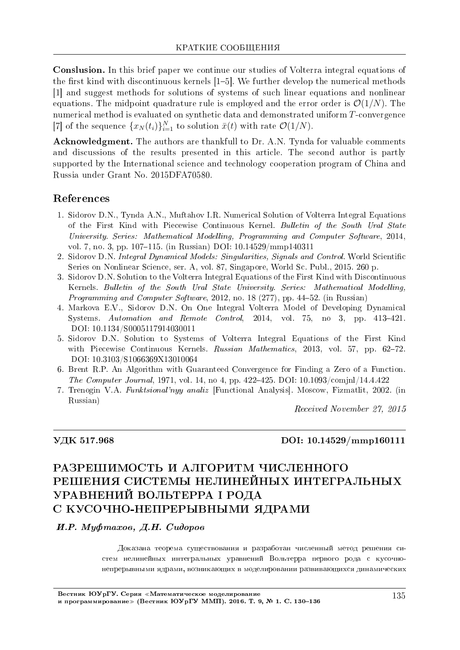**Conslusion.** In this brief paper we continue our studies of Volterra integral equations of the first kind with discontinuous kernels  $[1-5]$ . We further develop the numerical methods [1] and suggest methods for solutions of systems of such linear equations and nonlinear equations. The midpoint quadrature rule is employed and the error order is  $\mathcal{O}(1/N)$ . The numerical method is evaluated on synthetic data and demonstrated uniform T-convergence [7] of the sequence  $\{x_N(t_i)\}_{i=1}^N$  to solution  $\bar{x}(t)$  with rate  $\mathcal{O}(1/N)$ .

Acknowledgment. The authors are thankfull to Dr. A.N. Tynda for valuable comments and discussions of the results presented in this article. The second author is partly supported by the International science and technology cooperation program of China and Russia under Grant No. 2015DFA70580.

### References

- 1. Sidorov D.N., Tynda A.N., Muftahov I.R. Numerical Solution of Volterra Integral Equations of the First Kind with Piecewise Continuous Kernel. Bulletin of the South Ural State University. Series: Mathematical Modelling, Programming and Computer Software, 2014, vol. 7, no. 3, pp. 107-115. (in Russian) DOI: 10.14529/mmp140311
- 2. Sidorov D.N. Integral Dynamical Models: Singularities, Signals and Control. World Scientific Series on Nonlinear Science, ser. A. vol. 87. Singapore, World Sc. Publ., 2015. 260 p.
- 3. Sidorov D.N. Solution to the Volterra Integral Equations of the First Kind with Discontinuous Kernels. Bulletin of the South Ural State University. Series: Mathematical Modelling, *Programming and Computer Software*, 2012, no. 18 (277), pp. 44–52. (in Russian)
- 4. Markova E.V., Sidorov D.N. On One Integral Volterra Model of Developing Dynamical Systems. Automation and Remote Control. 2014, vol. 75, no 3, pp. 413-421. DOI: 10.1134/S0005117914030011
- 5. Sidorov D.N. Solution to Systems of Volterra Integral Equations of the First Kind with Piecewise Continuous Kernels. Russian Mathematics, 2013, vol. 57, pp. 62-72. DOI: 10.3103/S1066369X13010064
- 6. Brent R.P. An Algorithm with Guaranteed Convergence for Finding a Zero of a Function. *The Computer Journal*, 1971, vol. 14, no 4, pp. 422-425. DOI:  $10.1093 \text{/compl}/14.4.422$
- 7. Trenogin V.A. *Funktsional'nyy analiz* [Functional Analysis]. Moscow, Fizmatlit, 2002. (in Russian)

Received November 27, 2015

#### УДК 517.968

#### DOI: 10.14529/mmp160111

# РАЗРЕШИМОСТЬ И АЛГОРИТМ ЧИСЛЕННОГО РЕШЕНИЯ СИСТЕМЫ НЕЛИНЕЙНЫХ ИНТЕГРАЛЬНЫХ УРАВНЕНИЙ ВОЛЬТЕРРА І РОЛА С КУСОЧНО-НЕПРЕРЫВНЫМИ ЯДРАМИ

#### И.Р. Муфтахов, Д.Н. Сидоров

Доказана теорема существования и разработан численный метод решения систем нелинейных интегральных уравнений Вольтерра первого рода с кусочнонепрерывными ядрами, возникающих в моделировании развивающихся динамических